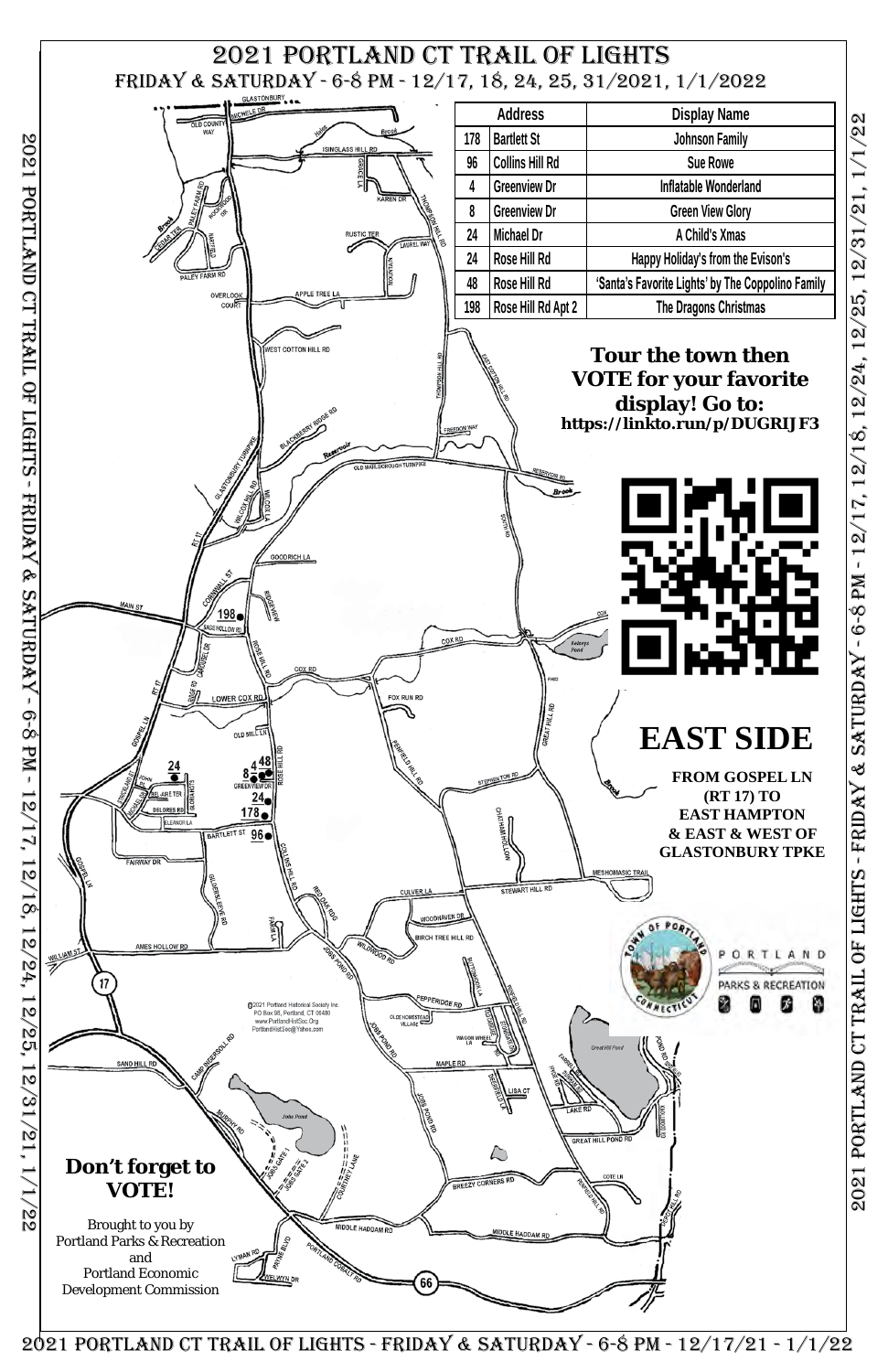2021 Portland ct trail of lights - friday & saturday - 6-8 pm - 12/17, 12/18, 12/24, 12/25, 12/31/21, 1/1/22